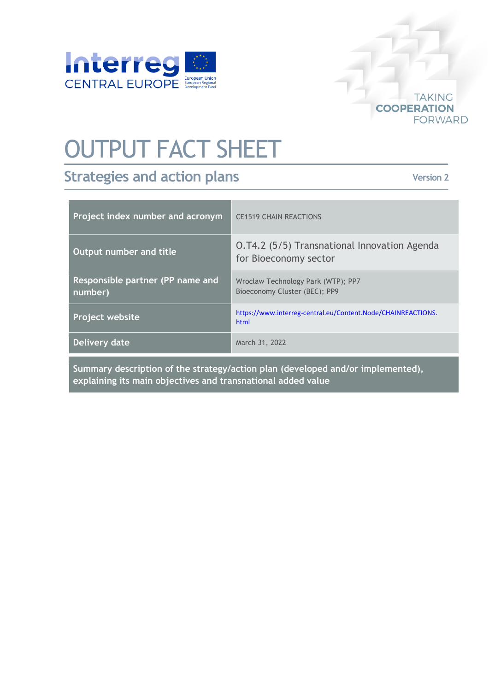

## OUTPUT FACT SHEET

## **Strategies and action plans**

**Version 2**

**TAKING** 

**FORWARD** 

**COOPERATION** 

| Project index number and acronym                                               | <b>CE1519 CHAIN REACTIONS</b>                                         |
|--------------------------------------------------------------------------------|-----------------------------------------------------------------------|
| Output number and title                                                        | O.T4.2 (5/5) Transnational Innovation Agenda<br>for Bioeconomy sector |
| Responsible partner (PP name and<br>number)                                    | Wroclaw Technology Park (WTP); PP7<br>Bioeconomy Cluster (BEC); PP9   |
| Project website                                                                | https://www.interreg-central.eu/Content.Node/CHAINREACTIONS.<br>html  |
| Delivery date                                                                  | March 31, 2022                                                        |
| Cummary description of the strategy/action plan (developed and/or implemented) |                                                                       |

**Summary description of the strategy/action plan (developed and/or implemented), explaining its main objectives and transnational added value**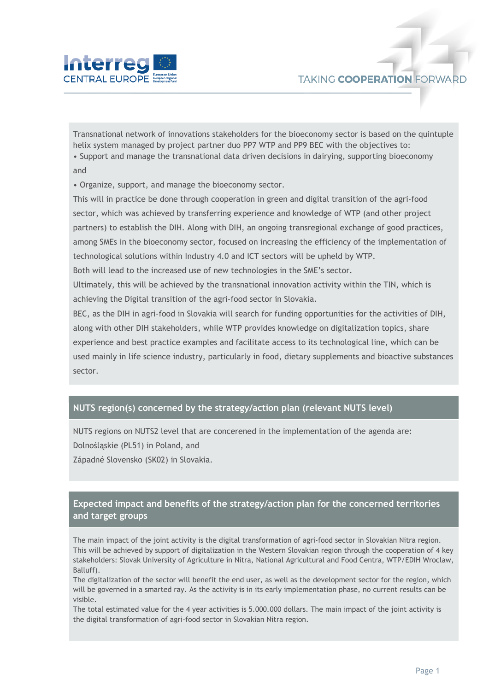

Transnational network of innovations stakeholders for the bioeconomy sector is based on the quintuple helix system managed by project partner duo PP7 WTP and PP9 BEC with the objectives to: • Support and manage the transnational data driven decisions in dairying, supporting bioeconomy and

• Organize, support, and manage the bioeconomy sector.

This will in practice be done through cooperation in green and digital transition of the agri-food sector, which was achieved by transferring experience and knowledge of WTP (and other project partners) to establish the DIH. Along with DIH, an ongoing transregional exchange of good practices, among SMEs in the bioeconomy sector, focused on increasing the efficiency of the implementation of technological solutions within Industry 4.0 and ICT sectors will be upheld by WTP.

Both will lead to the increased use of new technologies in the SME's sector.

Ultimately, this will be achieved by the transnational innovation activity within the TIN, which is achieving the Digital transition of the agri-food sector in Slovakia.

BEC, as the DIH in agri-food in Slovakia will search for funding opportunities for the activities of DIH, along with other DIH stakeholders, while WTP provides knowledge on digitalization topics, share experience and best practice examples and facilitate access to its technological line, which can be used mainly in life science industry, particularly in food, dietary supplements and bioactive substances sector.

## **NUTS region(s) concerned by the strategy/action plan (relevant NUTS level)**

NUTS regions on NUTS2 level that are concerened in the implementation of the agenda are: Dolnośląskie (PL51) in Poland, and Západné Slovensko (SK02) in Slovakia.

## **Expected impact and benefits of the strategy/action plan for the concerned territories and target groups**

The main impact of the joint activity is the digital transformation of agri-food sector in Slovakian Nitra region. This will be achieved by support of digitalization in the Western Slovakian region through the cooperation of 4 key stakeholders: Slovak University of Agriculture in Nitra, National Agricultural and Food Centra, WTP/EDIH Wroclaw, Balluff).

The digitalization of the sector will benefit the end user, as well as the development sector for the region, which will be governed in a smarted ray. As the activity is in its early implementation phase, no current results can be visible.

The total estimated value for the 4 year activities is 5.000.000 dollars. The main impact of the joint activity is the digital transformation of agri-food sector in Slovakian Nitra region.